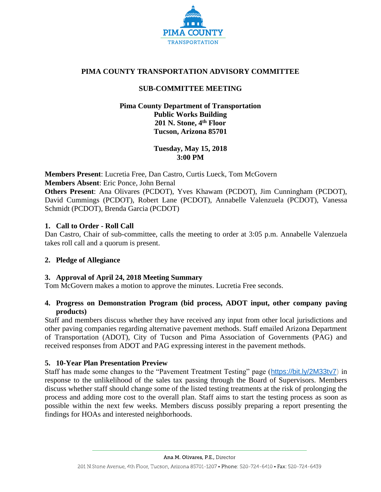

# **PIMA COUNTY TRANSPORTATION ADVISORY COMMITTEE**

# **SUB-COMMITTEE MEETING**

## **Pima County Department of Transportation Public Works Building 201 N. Stone, 4th Floor Tucson, Arizona 85701**

**Tuesday, May 15, 2018 3:00 PM**

**Members Present**: Lucretia Free, Dan Castro, Curtis Lueck, Tom McGovern **Members Absent**: Eric Ponce, John Bernal

**Others Present**: Ana Olivares (PCDOT), Yves Khawam (PCDOT), Jim Cunningham (PCDOT), David Cummings (PCDOT), Robert Lane (PCDOT), Annabelle Valenzuela (PCDOT), Vanessa Schmidt (PCDOT), Brenda Garcia (PCDOT)

# **1. Call to Order - Roll Call**

Dan Castro, Chair of sub-committee, calls the meeting to order at 3:05 p.m. Annabelle Valenzuela takes roll call and a quorum is present.

### **2. Pledge of Allegiance**

### **3. Approval of April 24, 2018 Meeting Summary**

Tom McGovern makes a motion to approve the minutes. Lucretia Free seconds.

# **4. Progress on Demonstration Program (bid process, ADOT input, other company paving products)**

Staff and members discuss whether they have received any input from other local jurisdictions and other paving companies regarding alternative pavement methods. Staff emailed Arizona Department of Transportation (ADOT), City of Tucson and Pima Association of Governments (PAG) and received responses from ADOT and PAG expressing interest in the pavement methods.

### **5. 10-Year Plan Presentation Preview**

Staff has made some changes to the "Pavement Treatment Testing" page ([https://bit.ly/2M33tv7\)](https://bit.ly/2M33tv7) in response to the unlikelihood of the sales tax passing through the Board of Supervisors. Members discuss whether staff should change some of the listed testing treatments at the risk of prolonging the process and adding more cost to the overall plan. Staff aims to start the testing process as soon as possible within the next few weeks. Members discuss possibly preparing a report presenting the findings for HOAs and interested neighborhoods.